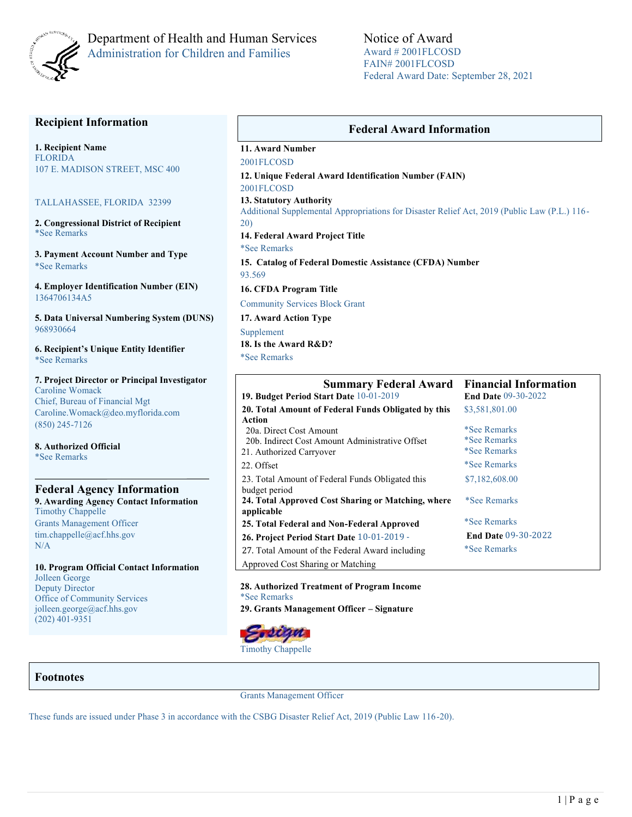

# Department of Health and Human Services Administration for Children and Families

### **Recipient Information**

**1. Recipient Name** FLORIDA 107 E. MADISON STREET, MSC 400

#### TALLAHASSEE, FLORIDA 32399

**2. Congressional District of Recipient**  \*See Remarks

**3. Payment Account Number and Type** \*See Remarks

**4. Employer Identification Number (EIN)** 1364706134A5

**5. Data Universal Numbering System (DUNS)**  968930664

**6. Recipient's Unique Entity Identifier** \*See Remarks

**7. Project Director or Principal Investigator**  Caroline Womack Chief, Bureau of Financial Mgt Caroline.Womack@deo.myflorida.com (850) 245-7126

**8. Authorized Official**  \*See Remarks

### **Federal Agency Information 9. Awarding Agency Contact Information** Timothy Chappelle Grants Management Officer tim.chappelle@acf.hhs.gov N/A

**10. Program Official Contact Information** Jolleen George Deputy Director Office of Community Services jolleen.george@acf.hhs.gov (202) 401-9351

### **Federal Award Information**

**11. Award Number**

2001FLCOSD

**12. Unique Federal Award Identification Number (FAIN)**  2001FLCOSD

**13. Statutory Authority** 

Additional Supplemental Appropriations for Disaster Relief Act, 2019 (Public Law (P.L.) 116- 20)

**14. Federal Award Project Title**  \*See Remarks

**15. Catalog of Federal Domestic Assistance (CFDA) Number**  93.569

**16. CFDA Program Title**  Community Services Block Grant

**17. Award Action Type** 

Supplement **18. Is the Award R&D?**  \*See Remarks

| <b>Summary Federal Award</b>                                      | <b>Financial Information</b> |  |  |
|-------------------------------------------------------------------|------------------------------|--|--|
| 19. Budget Period Start Date 10-01-2019                           | <b>End Date 09-30-2022</b>   |  |  |
| 20. Total Amount of Federal Funds Obligated by this               | \$3,581,801.00               |  |  |
| Action                                                            |                              |  |  |
| 20a. Direct Cost Amount                                           | <i>*See Remarks</i>          |  |  |
| 20b. Indirect Cost Amount Administrative Offset                   | <i>*See Remarks</i>          |  |  |
| 21. Authorized Carryover                                          | <i>*See Remarks</i>          |  |  |
| 22. Offset                                                        | <i>*See Remarks</i>          |  |  |
| 23. Total Amount of Federal Funds Obligated this<br>budget period | \$7,182,608.00               |  |  |
| 24. Total Approved Cost Sharing or Matching, where<br>applicable  | *See Remarks                 |  |  |
| 25. Total Federal and Non-Federal Approved                        | <i>*See Remarks</i>          |  |  |
| 26. Project Period Start Date 10-01-2019 -                        | <b>End Date 09-30-2022</b>   |  |  |
| 27. Total Amount of the Federal Award including                   | *See Remarks                 |  |  |
| Approved Cost Sharing or Matching                                 |                              |  |  |

**28. Authorized Treatment of Program Income**  \*See Remarks **29. Grants Management Officer – Signature** 



Timothy Chappelle

## **Footnotes**

Grants Management Officer

These funds are issued under Phase 3 in accordance with the CSBG Disaster Relief Act, 2019 (Public Law 116-20).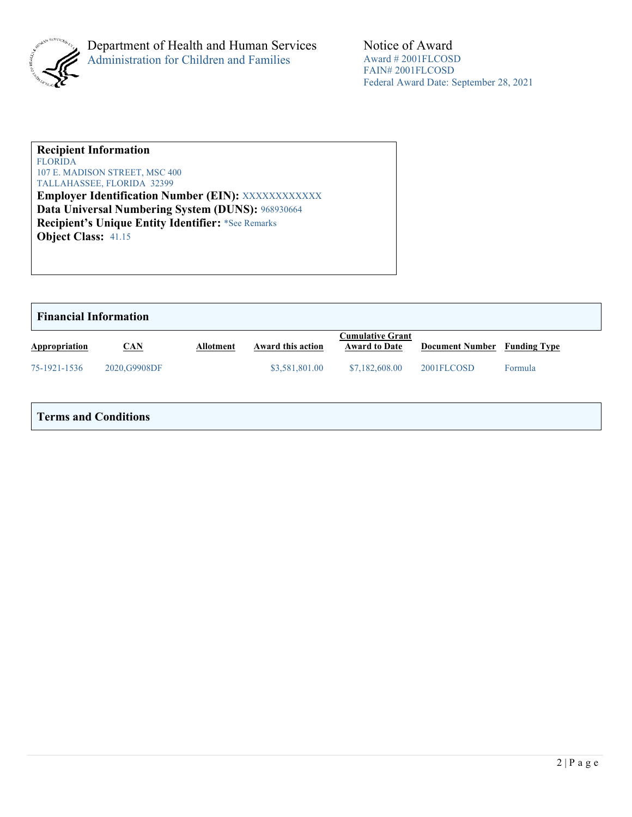

### **Recipient Information**  FLORIDA

107 E. MADISON STREET, MSC 400 TALLAHASSEE, FLORIDA 32399

**Employer Identification Number (EIN): XXXXXXXXXXXXX Data Universal Numbering System (DUNS):** 968930664 **Recipient's Unique Entity Identifier:** \*See Remarks **Object Class:** 41.15

| <b>Financial Information</b> |               |                  |                   |                                                 |                        |                     |  |
|------------------------------|---------------|------------------|-------------------|-------------------------------------------------|------------------------|---------------------|--|
| Appropriation                | CAN           | <b>Allotment</b> | Award this action | <b>Cumulative Grant</b><br><b>Award to Date</b> | <b>Document Number</b> | <b>Funding Type</b> |  |
| 75-1921-1536                 | 2020, G9908DF |                  | \$3,581,801.00    | \$7,182,608.00                                  | 2001FLCOSD             | Formula             |  |
|                              |               |                  |                   |                                                 |                        |                     |  |

## **Terms and Conditions**